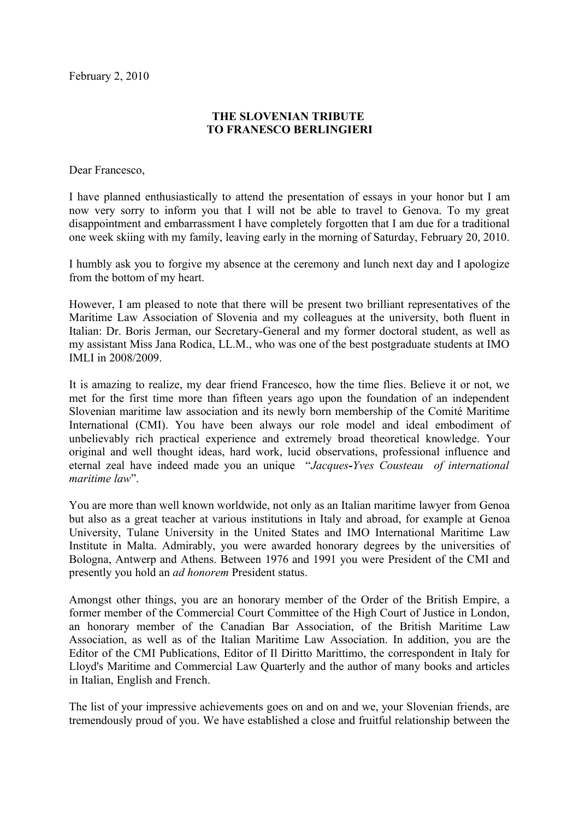## **THE SLOVENIAN TRIBUTE TO FRANESCO BERLINGIERI**

Dear Francesco,

I have planned enthusiastically to attend the presentation of essays in your honor but I am now very sorry to inform you that I will not be able to travel to Genova. To my great disappointment and embarrassment I have completely forgotten that I am due for a traditional one week skiing with my family, leaving early in the morning of Saturday, February 20, 2010.

I humbly ask you to forgive my absence at the ceremony and lunch next day and I apologize from the bottom of my heart.

However, I am pleased to note that there will be present two brilliant representatives of the Maritime Law Association of Slovenia and my colleagues at the university, both fluent in Italian: Dr. Boris Jerman, our Secretary-General and my former doctoral student, as well as my assistant Miss Jana Rodica, LL.M., who was one of the best postgraduate students at IMO IMLI in 2008/2009.

It is amazing to realize, my dear friend Francesco, how the time flies. Believe it or not, we met for the first time more than fifteen years ago upon the foundation of an independent Slovenian maritime law association and its newly born membership of the Comité Maritime International (CMI). You have been always our role model and ideal embodiment of unbelievably rich practical experience and extremely broad theoretical knowledge. Your original and well thought ideas, hard work, lucid observations, professional influence and eternal zeal have indeed made you an unique "*Jacques-Yves Cousteau of international maritime law*".

You are more than well known worldwide, not only as an Italian maritime lawyer from Genoa but also as a great teacher at various institutions in Italy and abroad, for example at Genoa University, Tulane University in the United States and IMO International Maritime Law Institute in Malta. Admirably, you were awarded honorary degrees by the universities of Bologna, Antwerp and Athens. Between 1976 and 1991 you were President of the CMI and presently you hold an *ad honorem* President status.

Amongst other things, you are an honorary member of the Order of the British Empire, a former member of the Commercial Court Committee of the High Court of Justice in London, an honorary member of the Canadian Bar Association, of the British Maritime Law Association, as well as of the Italian Maritime Law Association. In addition, you are the Editor of the CMI Publications, Editor of Il Diritto Marittimo, the correspondent in Italy for Lloyd's Maritime and Commercial Law Quarterly and the author of many books and articles in Italian, English and French.

The list of your impressive achievements goes on and on and we, your Slovenian friends, are tremendously proud of you. We have established a close and fruitful relationship between the